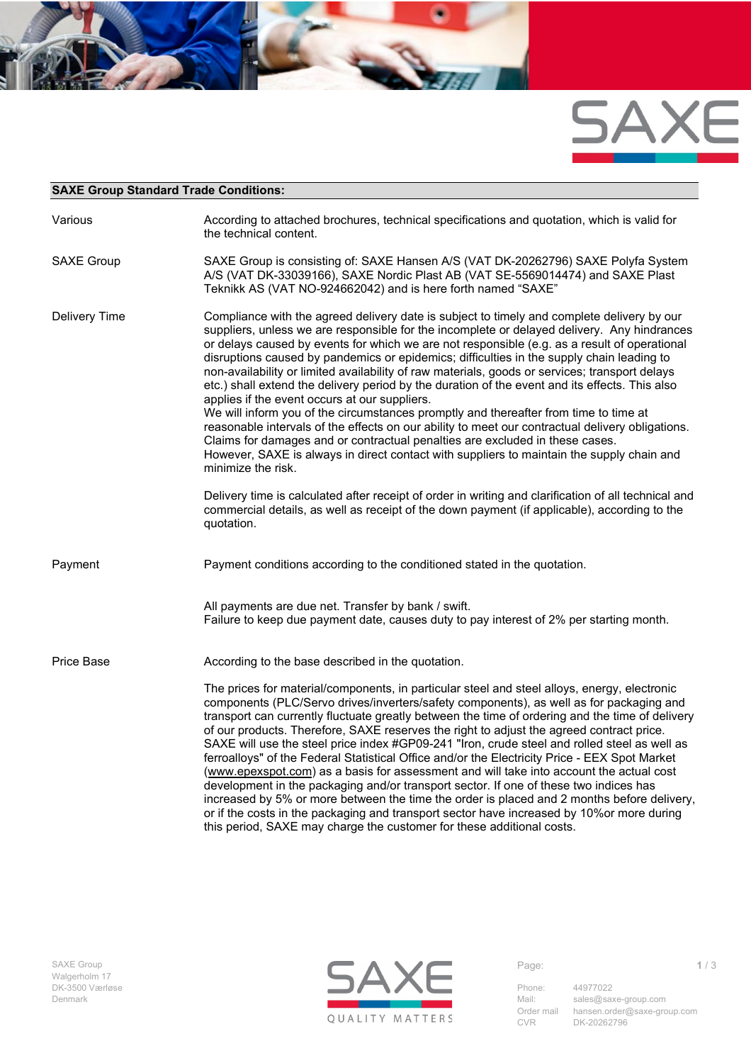

## **SAXE Group Standard Trade Conditions:**

| Various           | According to attached brochures, technical specifications and quotation, which is valid for<br>the technical content.                                                                                                                                                                                                                                                                                                                                                                                                                                                                                                                                                                                                                                                                                                                                                                                                                                                                                                                                                                                                                                                                                                                              |
|-------------------|----------------------------------------------------------------------------------------------------------------------------------------------------------------------------------------------------------------------------------------------------------------------------------------------------------------------------------------------------------------------------------------------------------------------------------------------------------------------------------------------------------------------------------------------------------------------------------------------------------------------------------------------------------------------------------------------------------------------------------------------------------------------------------------------------------------------------------------------------------------------------------------------------------------------------------------------------------------------------------------------------------------------------------------------------------------------------------------------------------------------------------------------------------------------------------------------------------------------------------------------------|
| <b>SAXE Group</b> | SAXE Group is consisting of: SAXE Hansen A/S (VAT DK-20262796) SAXE Polyfa System<br>A/S (VAT DK-33039166), SAXE Nordic Plast AB (VAT SE-5569014474) and SAXE Plast<br>Teknikk AS (VAT NO-924662042) and is here forth named "SAXE"                                                                                                                                                                                                                                                                                                                                                                                                                                                                                                                                                                                                                                                                                                                                                                                                                                                                                                                                                                                                                |
| Delivery Time     | Compliance with the agreed delivery date is subject to timely and complete delivery by our<br>suppliers, unless we are responsible for the incomplete or delayed delivery. Any hindrances<br>or delays caused by events for which we are not responsible (e.g. as a result of operational<br>disruptions caused by pandemics or epidemics; difficulties in the supply chain leading to<br>non-availability or limited availability of raw materials, goods or services; transport delays<br>etc.) shall extend the delivery period by the duration of the event and its effects. This also<br>applies if the event occurs at our suppliers.<br>We will inform you of the circumstances promptly and thereafter from time to time at<br>reasonable intervals of the effects on our ability to meet our contractual delivery obligations.<br>Claims for damages and or contractual penalties are excluded in these cases.<br>However, SAXE is always in direct contact with suppliers to maintain the supply chain and<br>minimize the risk.<br>Delivery time is calculated after receipt of order in writing and clarification of all technical and<br>commercial details, as well as receipt of the down payment (if applicable), according to the |
|                   | quotation.<br>Payment conditions according to the conditioned stated in the quotation.                                                                                                                                                                                                                                                                                                                                                                                                                                                                                                                                                                                                                                                                                                                                                                                                                                                                                                                                                                                                                                                                                                                                                             |
| Payment           |                                                                                                                                                                                                                                                                                                                                                                                                                                                                                                                                                                                                                                                                                                                                                                                                                                                                                                                                                                                                                                                                                                                                                                                                                                                    |
|                   | All payments are due net. Transfer by bank / swift.<br>Failure to keep due payment date, causes duty to pay interest of 2% per starting month.                                                                                                                                                                                                                                                                                                                                                                                                                                                                                                                                                                                                                                                                                                                                                                                                                                                                                                                                                                                                                                                                                                     |
| Price Base        | According to the base described in the quotation.                                                                                                                                                                                                                                                                                                                                                                                                                                                                                                                                                                                                                                                                                                                                                                                                                                                                                                                                                                                                                                                                                                                                                                                                  |
|                   | The prices for material/components, in particular steel and steel alloys, energy, electronic<br>components (PLC/Servo drives/inverters/safety components), as well as for packaging and<br>transport can currently fluctuate greatly between the time of ordering and the time of delivery<br>of our products. Therefore, SAXE reserves the right to adjust the agreed contract price.<br>SAXE will use the steel price index #GP09-241 "Iron, crude steel and rolled steel as well as<br>ferroalloys" of the Federal Statistical Office and/or the Electricity Price - EEX Spot Market<br>(www.epexspot.com) as a basis for assessment and will take into account the actual cost<br>development in the packaging and/or transport sector. If one of these two indices has<br>increased by 5% or more between the time the order is placed and 2 months before delivery,<br>or if the costs in the packaging and transport sector have increased by 10% or more during<br>this period, SAXE may charge the customer for these additional costs.                                                                                                                                                                                                   |

Walgerholm 17



Mail: [sales@saxe-group.com](mailto:sales@saxe-group.com)<br>Order mail hansen.order@saxe-gro hansen.order@saxe-group.com CVR DK-20262796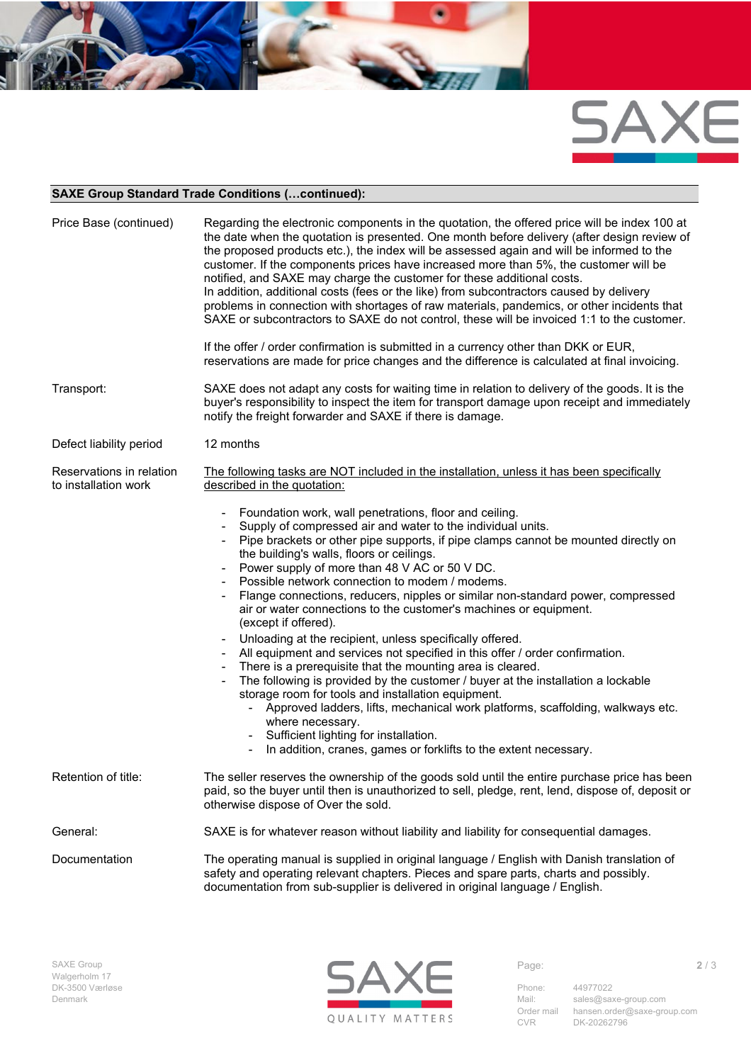

## **SAXE Group Standard Trade Conditions (…continued):**

| Price Base (continued)                           | Regarding the electronic components in the quotation, the offered price will be index 100 at<br>the date when the quotation is presented. One month before delivery (after design review of<br>the proposed products etc.), the index will be assessed again and will be informed to the<br>customer. If the components prices have increased more than 5%, the customer will be<br>notified, and SAXE may charge the customer for these additional costs.<br>In addition, additional costs (fees or the like) from subcontractors caused by delivery<br>problems in connection with shortages of raw materials, pandemics, or other incidents that<br>SAXE or subcontractors to SAXE do not control, these will be invoiced 1:1 to the customer.<br>If the offer / order confirmation is submitted in a currency other than DKK or EUR,<br>reservations are made for price changes and the difference is calculated at final invoicing.                                                                                                                                                                               |
|--------------------------------------------------|------------------------------------------------------------------------------------------------------------------------------------------------------------------------------------------------------------------------------------------------------------------------------------------------------------------------------------------------------------------------------------------------------------------------------------------------------------------------------------------------------------------------------------------------------------------------------------------------------------------------------------------------------------------------------------------------------------------------------------------------------------------------------------------------------------------------------------------------------------------------------------------------------------------------------------------------------------------------------------------------------------------------------------------------------------------------------------------------------------------------|
| Transport:                                       | SAXE does not adapt any costs for waiting time in relation to delivery of the goods. It is the<br>buyer's responsibility to inspect the item for transport damage upon receipt and immediately<br>notify the freight forwarder and SAXE if there is damage.                                                                                                                                                                                                                                                                                                                                                                                                                                                                                                                                                                                                                                                                                                                                                                                                                                                            |
| Defect liability period                          | 12 months                                                                                                                                                                                                                                                                                                                                                                                                                                                                                                                                                                                                                                                                                                                                                                                                                                                                                                                                                                                                                                                                                                              |
| Reservations in relation<br>to installation work | The following tasks are NOT included in the installation, unless it has been specifically<br>described in the quotation:                                                                                                                                                                                                                                                                                                                                                                                                                                                                                                                                                                                                                                                                                                                                                                                                                                                                                                                                                                                               |
|                                                  | Foundation work, wall penetrations, floor and ceiling.<br>Supply of compressed air and water to the individual units.<br>Pipe brackets or other pipe supports, if pipe clamps cannot be mounted directly on<br>the building's walls, floors or ceilings.<br>Power supply of more than 48 V AC or 50 V DC.<br>Possible network connection to modem / modems.<br>Flange connections, reducers, nipples or similar non-standard power, compressed<br>air or water connections to the customer's machines or equipment.<br>(except if offered).<br>Unloading at the recipient, unless specifically offered.<br>All equipment and services not specified in this offer / order confirmation.<br>There is a prerequisite that the mounting area is cleared.<br>The following is provided by the customer / buyer at the installation a lockable<br>storage room for tools and installation equipment.<br>- Approved ladders, lifts, mechanical work platforms, scaffolding, walkways etc.<br>where necessary.<br>- Sufficient lighting for installation.<br>In addition, cranes, games or forklifts to the extent necessary. |
| Retention of title:                              | The seller reserves the ownership of the goods sold until the entire purchase price has been<br>paid, so the buyer until then is unauthorized to sell, pledge, rent, lend, dispose of, deposit or<br>otherwise dispose of Over the sold.                                                                                                                                                                                                                                                                                                                                                                                                                                                                                                                                                                                                                                                                                                                                                                                                                                                                               |
| General:                                         | SAXE is for whatever reason without liability and liability for consequential damages.                                                                                                                                                                                                                                                                                                                                                                                                                                                                                                                                                                                                                                                                                                                                                                                                                                                                                                                                                                                                                                 |
| Documentation                                    | The operating manual is supplied in original language / English with Danish translation of<br>safety and operating relevant chapters. Pieces and spare parts, charts and possibly.<br>documentation from sub-supplier is delivered in original language / English.                                                                                                                                                                                                                                                                                                                                                                                                                                                                                                                                                                                                                                                                                                                                                                                                                                                     |



Mail: [sales@saxe-group.com](mailto:sales@saxe-group.com)<br>Order mail hansen.order@saxe-gro Order mail hansen.order@saxe-group.com CVR DK-20262796